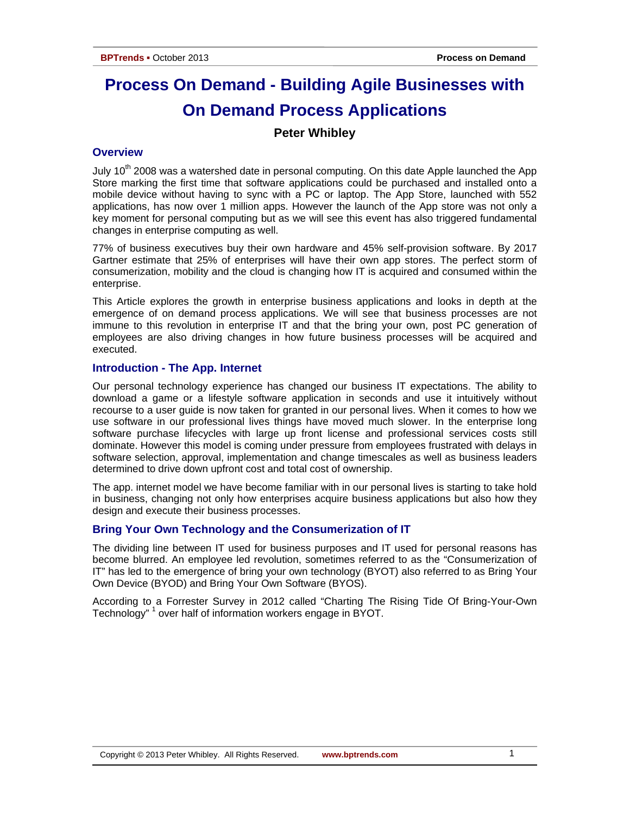# **Process On Demand - Building Agile Businesses with On Demand Process Applications**

# **Peter Whibley**

# **Overview**

July  $10<sup>th</sup>$  2008 was a watershed date in personal computing. On this date Apple launched the App Store marking the first time that software applications could be purchased and installed onto a mobile device without having to sync with a PC or laptop. The App Store, launched with 552 applications, has now over 1 million apps. However the launch of the App store was not only a key moment for personal computing but as we will see this event has also triggered fundamental changes in enterprise computing as well.

77% of business executives buy their own hardware and 45% self-provision software. By 2017 Gartner estimate that 25% of enterprises will have their own app stores. The perfect storm of consumerization, mobility and the cloud is changing how IT is acquired and consumed within the enterprise.

This Article explores the growth in enterprise business applications and looks in depth at the emergence of on demand process applications. We will see that business processes are not immune to this revolution in enterprise IT and that the bring your own, post PC generation of employees are also driving changes in how future business processes will be acquired and executed.

#### **Introduction - The App. Internet**

Our personal technology experience has changed our business IT expectations. The ability to download a game or a lifestyle software application in seconds and use it intuitively without recourse to a user guide is now taken for granted in our personal lives. When it comes to how we use software in our professional lives things have moved much slower. In the enterprise long software purchase lifecycles with large up front license and professional services costs still dominate. However this model is coming under pressure from employees frustrated with delays in software selection, approval, implementation and change timescales as well as business leaders determined to drive down upfront cost and total cost of ownership.

The app. internet model we have become familiar with in our personal lives is starting to take hold in business, changing not only how enterprises acquire business applications but also how they design and execute their business processes.

# **Bring Your Own Technology and the Consumerization of IT**

The dividing line between IT used for business purposes and IT used for personal reasons has become blurred. An employee led revolution, sometimes referred to as the "Consumerization of IT" has led to the emergence of bring your own technology (BYOT) also referred to as Bring Your Own Device (BYOD) and Bring Your Own Software (BYOS).

According to a Forrester Survey in 2012 called "Charting The Rising Tide Of Bring-Your-Own Technology"<sup>1</sup> over half of information workers engage in BYOT.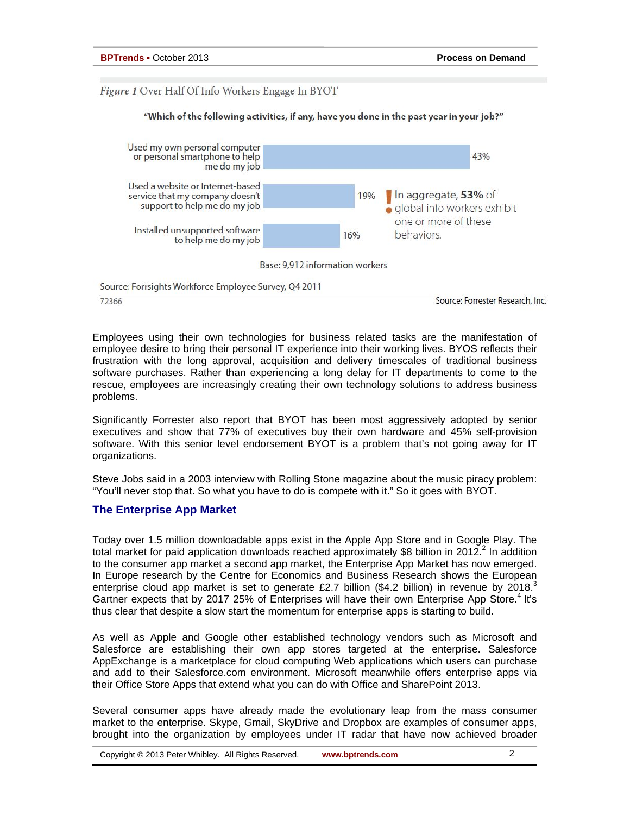# Figure 1 Over Half Of Info Workers Engage In BYOT



#### Employees using their own technologies for business related tasks are the manifestation of employee desire to bring their personal IT experience into their working lives. BYOS reflects their frustration with the long approval, acquisition and delivery timescales of traditional business software purchases. Rather than experiencing a long delay for IT departments to come to the rescue, employees are increasingly creating their own technology solutions to address business problems.

Significantly Forrester also report that BYOT has been most aggressively adopted by senior executives and show that 77% of executives buy their own hardware and 45% self-provision software. With this senior level endorsement BYOT is a problem that's not going away for IT organizations.

Steve Jobs said in a 2003 interview with Rolling Stone magazine about the music piracy problem: "You'll never stop that. So what you have to do is compete with it." So it goes with BYOT.

# **The Enterprise App Market**

Today over 1.5 million downloadable apps exist in the Apple App Store and in Google Play. The total market for paid application downloads reached approximately \$8 billion in 2012. In addition to the consumer app market a second app market, the Enterprise App Market has now emerged. In Europe research by the Centre for Economics and Business Research shows the European enterprise cloud app market is set to generate £2.7 billion (\$4.2 billion) in revenue by 2018.<sup>3</sup> Gartner expects that by 2017 25% of Enterprises will have their own Enterprise App Store.<sup>4</sup> It's thus clear that despite a slow start the momentum for enterprise apps is starting to build.

As well as Apple and Google other established technology vendors such as Microsoft and Salesforce are establishing their own app stores targeted at the enterprise. Salesforce AppExchange is a marketplace for cloud computing [Web applications](http://en.wikipedia.org/wiki/Web_application) which users can purchase and add to their Salesforce.com environment. Microsoft meanwhile offers enterprise apps via their Office Store Apps that extend what you can do with Office and SharePoint 2013.

Several consumer apps have already made the evolutionary leap from the mass consumer market to the enterprise. Skype, Gmail, SkyDrive and Dropbox are examples of consumer apps, brought into the organization by employees under IT radar that have now achieved broader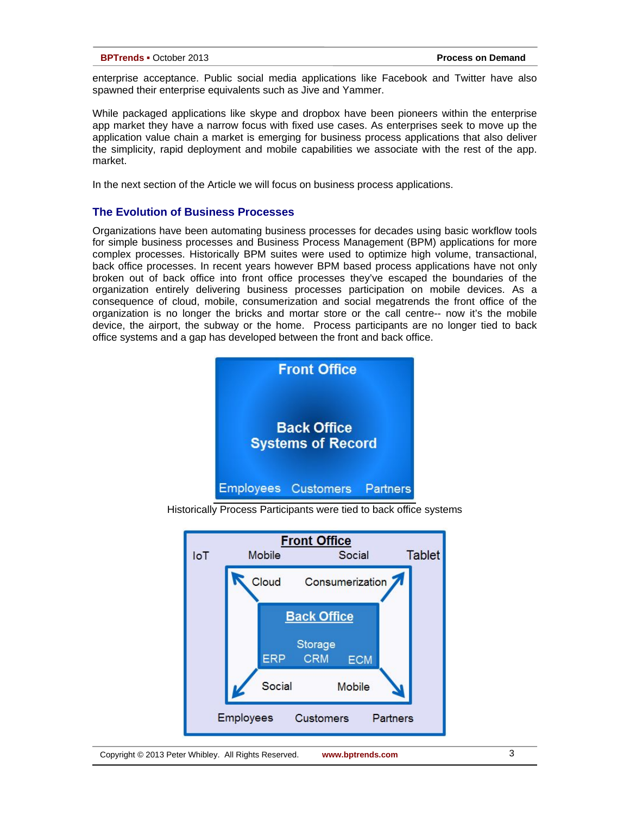enterprise acceptance. Public social media applications like Facebook and Twitter have also spawned their enterprise equivalents such as Jive and Yammer.

While packaged applications like skype and dropbox have been pioneers within the enterprise app market they have a narrow focus with fixed use cases. As enterprises seek to move up the application value chain a market is emerging for business process applications that also deliver the simplicity, rapid deployment and mobile capabilities we associate with the rest of the app. market.

In the next section of the Article we will focus on business process applications.

# **The Evolution of Business Processes**

Organizations have been automating business processes for decades using basic workflow tools for simple business processes and Business Process Management (BPM) applications for more complex processes. Historically BPM suites were used to optimize high volume, transactional, back office processes. In recent years however BPM based process applications have not only broken out of back office into front office processes they've escaped the boundaries of the organization entirely delivering business processes participation on mobile devices. As a consequence of cloud, mobile, consumerization and social megatrends the front office of the organization is no longer the bricks and mortar store or the call centre-- now it's the mobile device, the airport, the subway or the home. Process participants are no longer tied to back office systems and a gap has developed between the front and back office.



Historically Process Participants were tied to back office systems

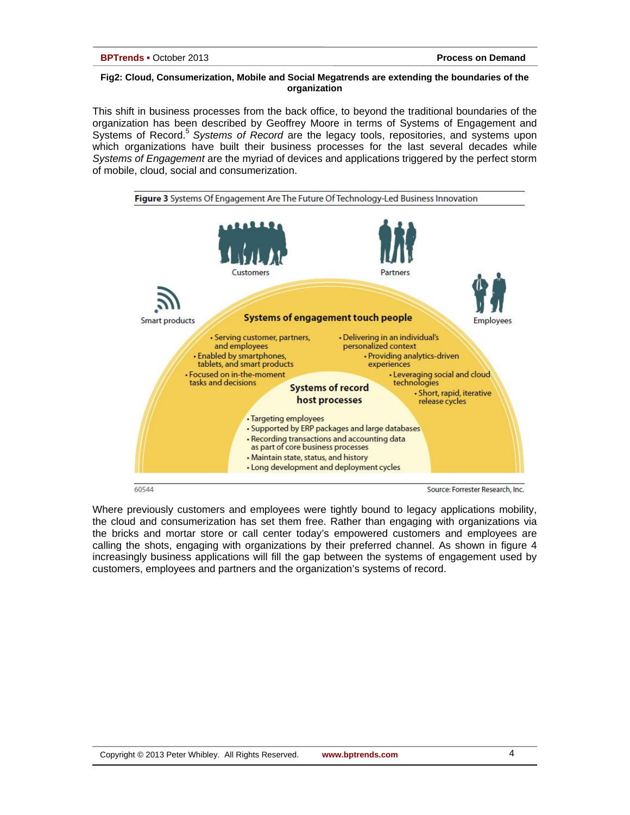#### **Fig2: Cloud, Consumerization, Mobile and Social Megatrends are extending the boundaries of the organization**

This shift in business processes from the back office, to beyond the traditional boundaries of the organization has been described by Geoffrey Moore in terms of Systems of Engagement and Systems of Record.5 *Systems of Record* are the legacy tools, repositories, and systems upon which organizations have built their business processes for the last several decades while *Systems of Engagement* are the myriad of devices and applications triggered by the perfect storm of mobile, cloud, social and consumerization.



Where previously customers and employees were tightly bound to legacy applications mobility, the cloud and consumerization has set them free. Rather than engaging with organizations via the bricks and mortar store or call center today's empowered customers and employees are calling the shots, engaging with organizations by their preferred channel. As shown in figure 4 increasingly business applications will fill the gap between the systems of engagement used by customers, employees and partners and the organization's systems of record.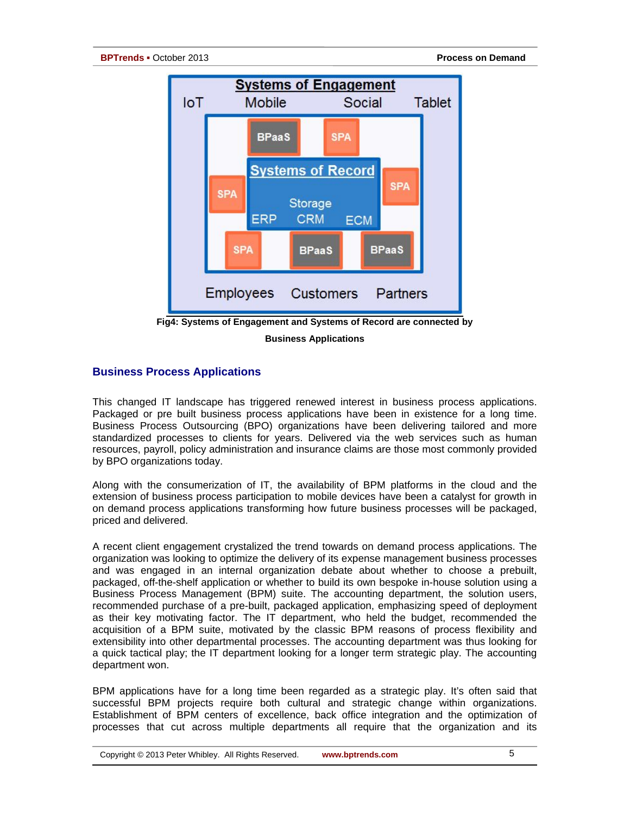

**Business Applications**

# **Business Process Applications**

This changed IT landscape has triggered renewed interest in business process applications. Packaged or pre built business process applications have been in existence for a long time. Business Process Outsourcing (BPO) organizations have been delivering tailored and more standardized processes to clients for years. Delivered via the web services such as human resources, payroll, policy administration and insurance claims are those most commonly provided by BPO organizations today.

Along with the consumerization of IT, the availability of BPM platforms in the cloud and the extension of business process participation to mobile devices have been a catalyst for growth in on demand process applications transforming how future business processes will be packaged, priced and delivered.

A recent client engagement crystalized the trend towards on demand process applications. The organization was looking to optimize the delivery of its expense management business processes and was engaged in an internal organization debate about whether to choose a prebuilt, packaged, off-the-shelf application or whether to build its own bespoke in-house solution using a Business Process Management (BPM) suite. The accounting department, the solution users, recommended purchase of a pre-built, packaged application, emphasizing speed of deployment as their key motivating factor. The IT department, who held the budget, recommended the acquisition of a BPM suite, motivated by the classic BPM reasons of process flexibility and extensibility into other departmental processes. The accounting department was thus looking for a quick tactical play; the IT department looking for a longer term strategic play. The accounting department won.

BPM applications have for a long time been regarded as a strategic play. It's often said that successful BPM projects require both cultural and strategic change within organizations. Establishment of BPM centers of excellence, back office integration and the optimization of processes that cut across multiple departments all require that the organization and its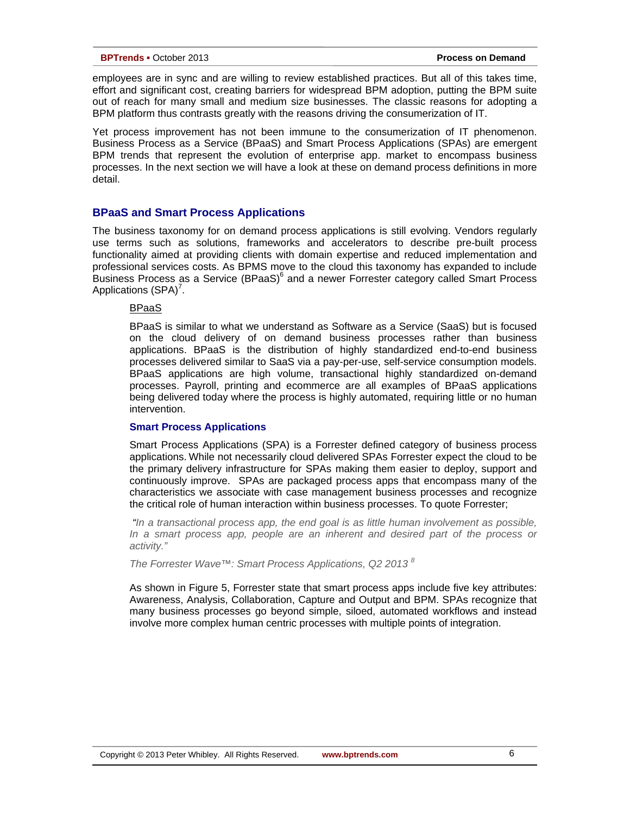employees are in sync and are willing to review established practices. But all of this takes time, effort and significant cost, creating barriers for widespread BPM adoption, putting the BPM suite out of reach for many small and medium size businesses. The classic reasons for adopting a BPM platform thus contrasts greatly with the reasons driving the consumerization of IT.

Yet process improvement has not been immune to the consumerization of IT phenomenon. Business Process as a Service (BPaaS) and Smart Process Applications (SPAs) are emergent BPM trends that represent the evolution of enterprise app. market to encompass business processes. In the next section we will have a look at these on demand process definitions in more detail.

# **BPaaS and Smart Process Applications**

The business taxonomy for on demand process applications is still evolving. Vendors regularly use terms such as solutions, frameworks and accelerators to describe pre-built process functionality aimed at providing clients with domain expertise and reduced implementation and professional services costs. As BPMS move to the cloud this taxonomy has expanded to include Business Process as a Service (BPaaS)<sup>6</sup> and a newer Forrester category called Smart Process Applications (SPA)<sup>7</sup>.

# BPaaS

BPaaS is similar to what we understand as Software as a Service (SaaS) but is focused on the cloud delivery of on demand business processes rather than business applications. BPaaS is the distribution of highly standardized end-to-end business processes delivered similar to SaaS via a pay-per-use, self-service consumption models. BPaaS applications are high volume, transactional highly standardized on-demand processes. Payroll, printing and ecommerce are all examples of BPaaS applications being delivered today where the process is highly automated, requiring little or no human intervention.

#### **Smart Process Applications**

Smart Process Applications (SPA) is a Forrester defined category of business process applications. While not necessarily cloud delivered SPAs Forrester expect the cloud to be the primary delivery infrastructure for SPAs making them easier to deploy, support and continuously improve. SPAs are packaged process apps that encompass many of the characteristics we associate with case management business processes and recognize the critical role of human interaction within business processes. To quote Forrester;

*"In a transactional process app, the end goal is as little human involvement as possible, In a smart process app, people are an inherent and desired part of the process or activity."*

*The Forrester Wave™: Smart Process Applications, Q2 2013 <sup>8</sup>*

As shown in Figure 5, Forrester state that smart process apps include five key attributes: Awareness, Analysis, Collaboration, Capture and Output and BPM. SPAs recognize that many business processes go beyond simple, siloed, automated workflows and instead involve more complex human centric processes with multiple points of integration.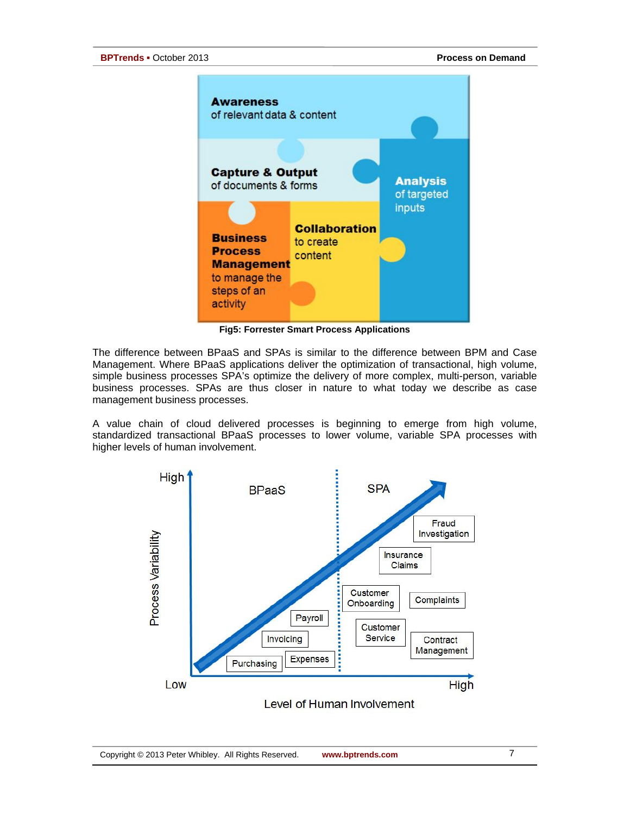

**Fig5: Forrester Smart Process Applications**

The difference between BPaaS and SPAs is similar to the difference between BPM and Case Management. Where BPaaS applications deliver the optimization of transactional, high volume, simple business processes SPA's optimize the delivery of more complex, multi-person, variable business processes. SPAs are thus closer in nature to what today we describe as case management business processes.

A value chain of cloud delivered processes is beginning to emerge from high volume, standardized transactional BPaaS processes to lower volume, variable SPA processes with higher levels of human involvement.

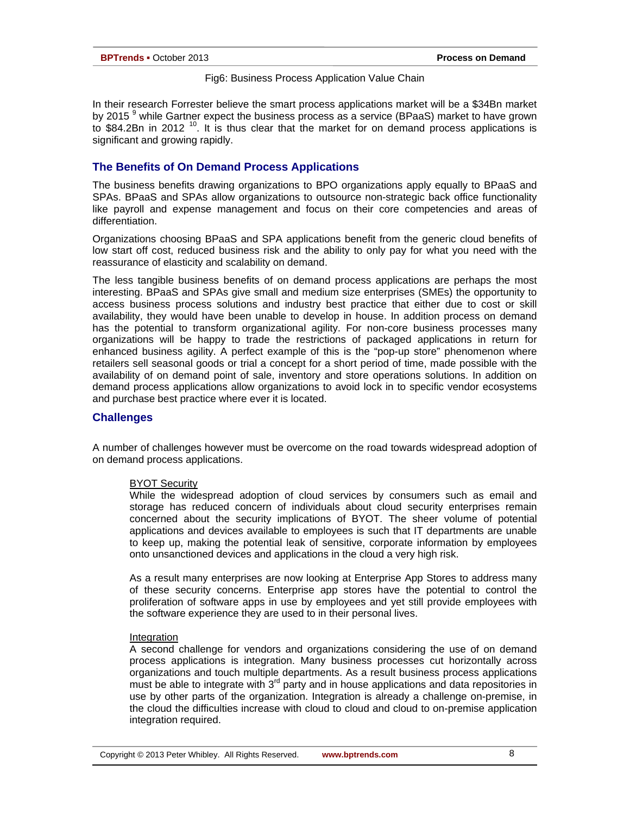#### Fig6: Business Process Application Value Chain

In their research [Forrester believe the smart process applications market will be a \\$34Bn market](http://www.tmcnet.com/usubmit/2012/11/20/6738778.htm)  [by 2015](http://www.tmcnet.com/usubmit/2012/11/20/6738778.htm)  $^9$  while Gartner expect the business process as a service (BPaaS) market to have grown to \$84.2Bn in 2012<sup>10</sup>. It is thus clear that the market for on demand process applications is significant and growing rapidly.

# **The Benefits of On Demand Process Applications**

The business benefits drawing organizations to BPO organizations apply equally to BPaaS and SPAs. BPaaS and SPAs allow organizations to outsource non-strategic back office functionality like payroll and expense management and focus on their core competencies and areas of differentiation.

Organizations choosing BPaaS and SPA applications benefit from the generic cloud benefits of low start off cost, reduced business risk and the ability to only pay for what you need with the reassurance of elasticity and scalability on demand.

The less tangible business benefits of on demand process applications are perhaps the most interesting. BPaaS and SPAs give small and medium size enterprises (SMEs) the opportunity to access business process solutions and industry best practice that either due to cost or skill availability, they would have been unable to develop in house. In addition process on demand has the potential to transform organizational agility. For non-core business processes many organizations will be happy to trade the restrictions of packaged applications in return for enhanced business agility. A perfect example of this is the "pop-up store" phenomenon where retailers sell seasonal goods or trial a concept for a short period of time, made possible with the availability of on demand point of sale, inventory and store operations solutions. In addition on demand process applications allow organizations to avoid lock in to specific vendor ecosystems and purchase best practice where ever it is located.

# **Challenges**

A number of challenges however must be overcome on the road towards widespread adoption of on demand process applications.

#### BYOT Security

While the widespread adoption of cloud services by consumers such as email and storage has reduced concern of individuals about cloud security enterprises remain concerned about the security implications of BYOT. The sheer volume of potential applications and devices available to employees is such that IT departments are unable to keep up, making the potential leak of sensitive, corporate information by employees onto unsanctioned devices and applications in the cloud a very high risk.

As a result many enterprises are now looking at Enterprise App Stores to address many of these security concerns. Enterprise app stores have the potential to control the proliferation of software apps in use by employees and yet still provide employees with the software experience they are used to in their personal lives.

#### Integration

A second challenge for vendors and organizations considering the use of on demand process applications is integration. Many business processes cut horizontally across organizations and touch multiple departments. As a result business process applications must be able to integrate with  $3<sup>rd</sup>$  party and in house applications and data repositories in use by other parts of the organization. Integration is already a challenge on-premise, in the cloud the difficulties increase with cloud to cloud and cloud to on-premise application integration required.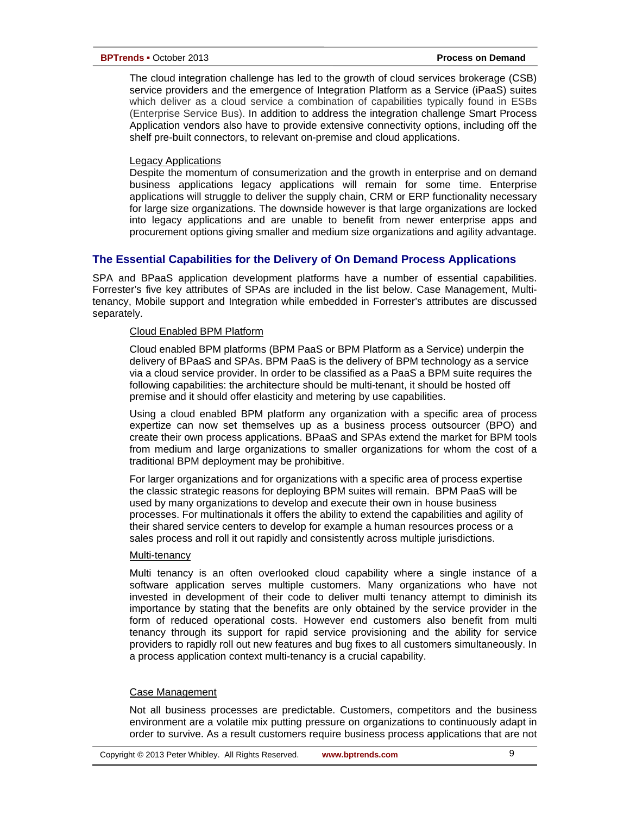The cloud integration challenge has led to the growth of cloud services brokerage (CSB) service providers and the emergence of Integration Platform as a Service (iPaaS) suites which deliver as a cloud service a combination of capabilities typically found in ESBs (Enterprise Service Bus). In addition to address the integration challenge Smart Process Application vendors also have to provide extensive connectivity options, including off the shelf pre-built connectors, to relevant on-premise and cloud applications.

#### Legacy Applications

Despite the momentum of consumerization and the growth in enterprise and on demand business applications legacy applications will remain for some time. Enterprise applications will struggle to deliver the supply chain, CRM or ERP functionality necessary for large size organizations. The downside however is that large organizations are locked into legacy applications and are unable to benefit from newer enterprise apps and procurement options giving smaller and medium size organizations and agility advantage.

# **The Essential Capabilities for the Delivery of On Demand Process Applications**

SPA and BPaaS application development platforms have a number of essential capabilities. Forrester's five key attributes of SPAs are included in the list below. Case Management, Multitenancy, Mobile support and Integration while embedded in Forrester's attributes are discussed separately.

#### Cloud Enabled BPM Platform

Cloud enabled BPM platforms (BPM PaaS or BPM Platform as a Service) underpin the delivery of BPaaS and SPAs. BPM PaaS is the delivery of BPM technology as a service via a cloud service provider. In order to be classified as a PaaS a BPM suite requires the following capabilities: the architecture should be multi-tenant, it should be hosted off premise and it should offer elasticity and metering by use capabilities.

Using a cloud enabled BPM platform any organization with a specific area of process expertize can now set themselves up as a business process outsourcer (BPO) and create their own process applications. BPaaS and SPAs extend the market for BPM tools from medium and large organizations to smaller organizations for whom the cost of a traditional BPM deployment may be prohibitive.

For larger organizations and for organizations with a specific area of process expertise the classic strategic reasons for deploying BPM suites will remain. BPM PaaS will be used by many organizations to develop and execute their own in house business processes. For multinationals it offers the ability to extend the capabilities and agility of their shared service centers to develop for example a human resources process or a sales process and roll it out rapidly and consistently across multiple jurisdictions.

#### Multi-tenancy

Multi tenancy is an often overlooked cloud capability where a single instance of a software application serves multiple customers. Many organizations who have not invested in development of their code to deliver multi tenancy attempt to diminish its importance by stating that the benefits are only obtained by the service provider in the form of reduced operational costs. However end customers also benefit from multi tenancy through its support for rapid service provisioning and the ability for service providers to rapidly roll out new features and bug fixes to all customers simultaneously. In a process application context multi-tenancy is a crucial capability.

# Case Management

Not all business processes are predictable. Customers, competitors and the business environment are a volatile mix putting pressure on organizations to continuously adapt in order to survive. As a result customers require business process applications that are not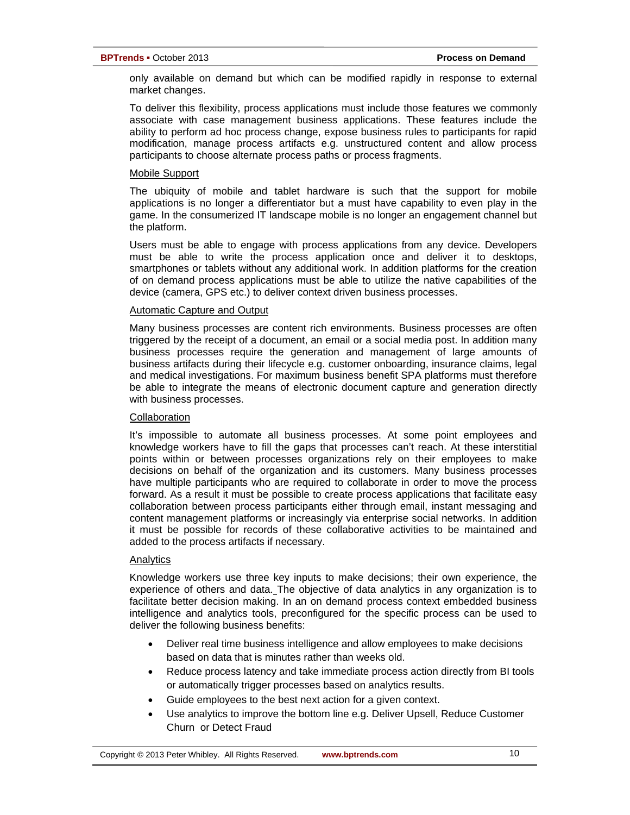only available on demand but which can be modified rapidly in response to external market changes.

To deliver this flexibility, process applications must include those features we commonly associate with case management business applications. These features include the ability to perform ad hoc process change, expose business rules to participants for rapid modification, manage process artifacts e.g. unstructured content and allow process participants to choose alternate process paths or process fragments.

#### Mobile Support

The ubiquity of mobile and tablet hardware is such that the support for mobile applications is no longer a differentiator but a must have capability to even play in the game. In the consumerized IT landscape mobile is no longer an engagement channel but the platform.

Users must be able to engage with process applications from any device. Developers must be able to write the process application once and deliver it to desktops, smartphones or tablets without any additional work. In addition platforms for the creation of on demand process applications must be able to utilize the native capabilities of the device (camera, GPS etc.) to deliver context driven business processes.

#### Automatic Capture and Output

Many business processes are content rich environments. Business processes are often triggered by the receipt of a document, an email or a social media post. In addition many business processes require the generation and management of large amounts of business artifacts during their lifecycle e.g. customer onboarding, insurance claims, legal and medical investigations. For maximum business benefit SPA platforms must therefore be able to integrate the means of electronic document capture and generation directly with business processes.

# **Collaboration**

It's impossible to automate all business processes. At some point employees and knowledge workers have to fill the gaps that processes can't reach. At these interstitial points within or between processes organizations rely on their employees to make decisions on behalf of the organization and its customers. Many business processes have multiple participants who are required to collaborate in order to move the process forward. As a result it must be possible to create process applications that facilitate easy collaboration between process participants either through email, instant messaging and content management platforms or increasingly via enterprise social networks. In addition it must be possible for records of these collaborative activities to be maintained and added to the process artifacts if necessary.

# Analytics

Knowledge workers use three key inputs to make decisions; their own experience, the experience of others and data. The objective of data analytics in any organization is to facilitate better decision making. In an on demand process context embedded business intelligence and analytics tools, preconfigured for the specific process can be used to deliver the following business benefits:

- Deliver real time business intelligence and allow employees to make decisions based on data that is minutes rather than weeks old.
- Reduce process latency and take immediate process action directly from BI tools or automatically trigger processes based on analytics results.
- Guide employees to the best next action for a given context.
- Use analytics to improve the bottom line e.g. Deliver Upsell, Reduce Customer Churn or Detect Fraud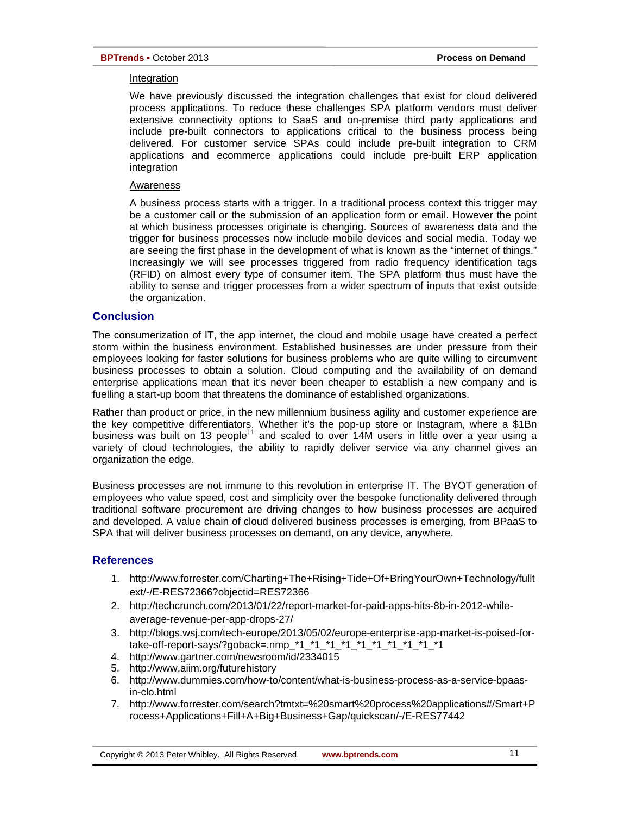#### Integration

We have previously discussed the integration challenges that exist for cloud delivered process applications. To reduce these challenges SPA platform vendors must deliver extensive connectivity options to SaaS and on-premise third party applications and include pre-built connectors to applications critical to the business process being delivered. For customer service SPAs could include pre-built integration to CRM applications and ecommerce applications could include pre-built ERP application integration

#### Awareness

A business process starts with a trigger. In a traditional process context this trigger may be a customer call or the submission of an application form or email. However the point at which business processes originate is changing. Sources of awareness data and the trigger for business processes now include mobile devices and social media. Today we are seeing the first phase in the development of what is known as the "internet of things." Increasingly we will see processes triggered from radio frequency identification tags (RFID) on almost every type of consumer item. The SPA platform thus must have the ability to sense and trigger processes from a wider spectrum of inputs that exist outside the organization.

# **Conclusion**

The consumerization of IT, the app internet, the cloud and mobile usage have created a perfect storm within the business environment. Established businesses are under pressure from their employees looking for faster solutions for business problems who are quite willing to circumvent business processes to obtain a solution. Cloud computing and the availability of on demand enterprise applications mean that it's never been cheaper to establish a new company and is fuelling a start-up boom that threatens the dominance of established organizations.

Rather than product or price, in the new millennium business agility and customer experience are the key competitive differentiators. Whether it's the pop-up store or Instagram, where a \$1Bn business was built on 13 people<sup>11</sup> and scaled to over 14M users in little over a year using a variety of cloud technologies, the ability to rapidly deliver service via any channel gives an organization the edge.

Business processes are not immune to this revolution in enterprise IT. The BYOT generation of employees who value speed, cost and simplicity over the bespoke functionality delivered through traditional software procurement are driving changes to how business processes are acquired and developed. A value chain of cloud delivered business processes is emerging, from BPaaS to SPA that will deliver business processes on demand, on any device, anywhere.

# **References**

- 1. http://www.forrester.com/Charting+The+Rising+Tide+Of+BringYourOwn+Technology/fullt ext/-/E-RES72366?objectid=RES72366
- 2. [http://techcrunch.com/2013/01/22/report-market-for-paid-apps-hits-8b-in-2012-while](http://techcrunch.com/2013/01/22/report-market-for-paid-apps-hits-8b-in-2012-while-average-revenue-per-app-drops-27/)[average-revenue-per-app-drops-27/](http://techcrunch.com/2013/01/22/report-market-for-paid-apps-hits-8b-in-2012-while-average-revenue-per-app-drops-27/)
- 3. [http://blogs.wsj.com/tech-europe/2013/05/02/europe-enterprise-app-market-is-poised-for](http://blogs.wsj.com/tech-europe/2013/05/02/europe-enterprise-app-market-is-poised-for-take-off-report-says/?goback=.nmp_*1_*1_*1_*1_*1_*1_*1_*1_*1_*1)[take-off-report-says/?goback=.nmp\\_\\*1\\_\\*1\\_\\*1\\_\\*1\\_\\*1\\_\\*1\\_\\*1\\_\\*1\\_\\*1\\_\\*1](http://blogs.wsj.com/tech-europe/2013/05/02/europe-enterprise-app-market-is-poised-for-take-off-report-says/?goback=.nmp_*1_*1_*1_*1_*1_*1_*1_*1_*1_*1)
- 4. <http://www.gartner.com/newsroom/id/2334015>
- 5. <http://www.aiim.org/futurehistory>
- 6. [http://www.dummies.com/how-to/content/what-is-business-process-as-a-service-bpaas](http://www.dummies.com/how-to/content/what-is-business-process-as-a-service-bpaas-in-clo.html)[in-clo.html](http://www.dummies.com/how-to/content/what-is-business-process-as-a-service-bpaas-in-clo.html)
- 7. http://www.forrester.com/search?tmtxt=%20smart%20process%20applications#/Smart+P rocess+Applications+Fill+A+Big+Business+Gap/quickscan/-/E-RES77442